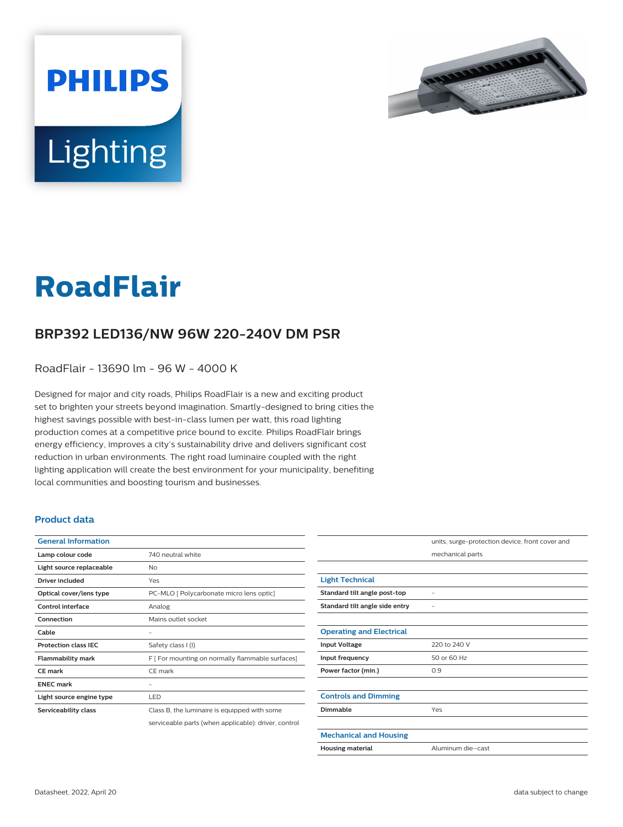



# **RoadFlair**

## **BRP392 LED136/NW 96W 220-240V DM PSR**

RoadFlair - 13690 lm - 96 W - 4000 K

Designed for major and city roads, Philips RoadFlair is a new and exciting product set to brighten your streets beyond imagination. Smartly-designed to bring cities the highest savings possible with best-in-class lumen per watt, this road lighting production comes at a competitive price bound to excite. Philips RoadFlair brings energy efficiency, improves a city's sustainability drive and delivers significant cost reduction in urban environments. The right road luminaire coupled with the right lighting application will create the best environment for your municipality, benefiting local communities and boosting tourism and businesses.

#### **Product data**

| <b>General Information</b>  |                                                      |
|-----------------------------|------------------------------------------------------|
| Lamp colour code            | 740 neutral white                                    |
| Light source replaceable    | No                                                   |
| Driver included             | Yes                                                  |
| Optical cover/lens type     | PC-MLO [ Polycarbonate micro lens optic]             |
| Control interface           | Analog                                               |
| Connection                  | Mains outlet socket                                  |
| Cable                       |                                                      |
| <b>Protection class IEC</b> | Safety class I (I)                                   |
| <b>Flammability mark</b>    | F [ For mounting on normally flammable surfaces]     |
| <b>CE</b> mark              | CE mark                                              |
| <b>FNFC</b> mark            |                                                      |
| Light source engine type    | LED                                                  |
| Serviceability class        | Class B, the luminaire is equipped with some         |
|                             | serviceable parts (when applicable): driver, control |

|                                 | units, surge-protection device, front cover and |
|---------------------------------|-------------------------------------------------|
|                                 | mechanical parts                                |
|                                 |                                                 |
| <b>Light Technical</b>          |                                                 |
| Standard tilt angle post-top    |                                                 |
| Standard tilt angle side entry  |                                                 |
|                                 |                                                 |
| <b>Operating and Electrical</b> |                                                 |
| <b>Input Voltage</b>            | 220 to 240 V                                    |
| Input frequency                 | 50 or 60 Hz                                     |
| Power factor (min.)             | 0.9                                             |
|                                 |                                                 |
| <b>Controls and Dimming</b>     |                                                 |
| Dimmable                        | Yes                                             |
|                                 |                                                 |
| <b>Mechanical and Housing</b>   |                                                 |
| <b>Housing material</b>         | Aluminum die-cast                               |
|                                 |                                                 |